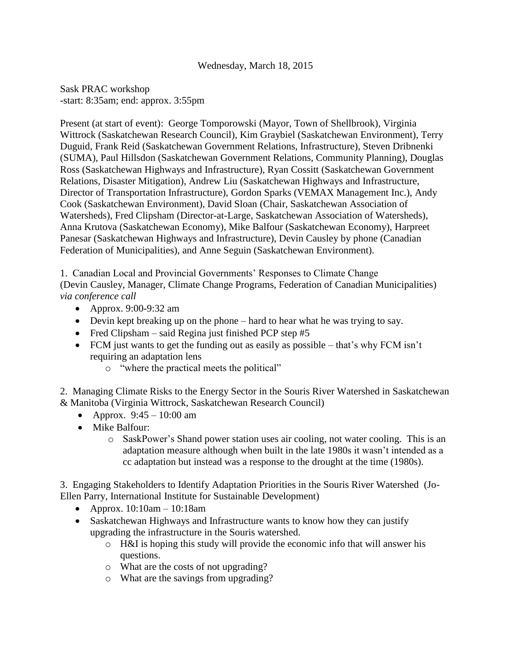## Wednesday, March 18, 2015

Sask PRAC workshop -start: 8:35am; end: approx. 3:55pm

Present (at start of event): George Tomporowski (Mayor, Town of Shellbrook), Virginia Wittrock (Saskatchewan Research Council), Kim Graybiel (Saskatchewan Environment), Terry Duguid, Frank Reid (Saskatchewan Government Relations, Infrastructure), Steven Dribnenki (SUMA), Paul Hillsdon (Saskatchewan Government Relations, Community Planning), Douglas Ross (Saskatchewan Highways and Infrastructure), Ryan Cossitt (Saskatchewan Government Relations, Disaster Mitigation), Andrew Liu (Saskatchewan Highways and Infrastructure, Director of Transportation Infrastructure), Gordon Sparks (VEMAX Management Inc.), Andy Cook (Saskatchewan Environment), David Sloan (Chair, Saskatchewan Association of Watersheds), Fred Clipsham (Director-at-Large, Saskatchewan Association of Watersheds), Anna Krutova (Saskatchewan Economy), Mike Balfour (Saskatchewan Economy), Harpreet Panesar (Saskatchewan Highways and Infrastructure), Devin Causley by phone (Canadian Federation of Municipalities), and Anne Seguin (Saskatchewan Environment).

1. Canadian Local and Provincial Governments' Responses to Climate Change (Devin Causley, Manager, Climate Change Programs, Federation of Canadian Municipalities) *via conference call*

- Approx. 9:00-9:32 am
- Devin kept breaking up on the phone hard to hear what he was trying to say.
- Fred Clipsham said Regina just finished PCP step  $#5$
- FCM just wants to get the funding out as easily as possible that's why FCM isn't requiring an adaptation lens
	- o "where the practical meets the political"

2. Managing Climate Risks to the Energy Sector in the Souris River Watershed in Saskatchewan & Manitoba (Virginia Wittrock, Saskatchewan Research Council)

- Approx.  $9:45 10:00$  am
- Mike Balfour:
	- o SaskPower's Shand power station uses air cooling, not water cooling. This is an adaptation measure although when built in the late 1980s it wasn't intended as a cc adaptation but instead was a response to the drought at the time (1980s).

3. Engaging Stakeholders to Identify Adaptation Priorities in the Souris River Watershed (Jo-Ellen Parry, International Institute for Sustainable Development)

- Approx.  $10:10$ am  $10:18$ am
- Saskatchewan Highways and Infrastructure wants to know how they can justify upgrading the infrastructure in the Souris watershed.
	- o H&I is hoping this study will provide the economic info that will answer his questions.
	- o What are the costs of not upgrading?
	- o What are the savings from upgrading?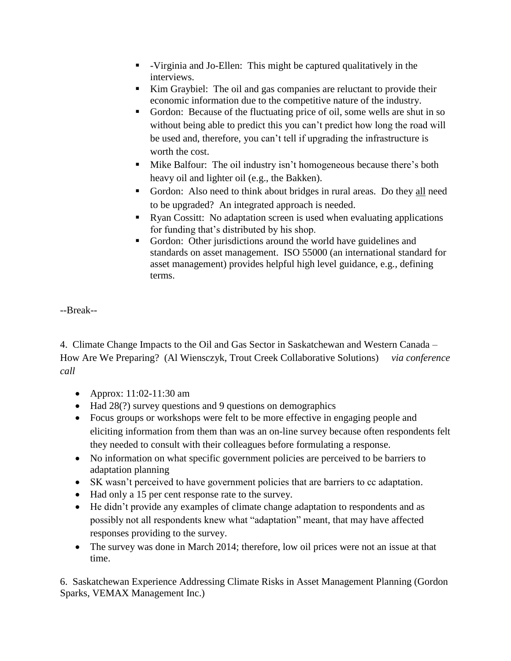- -Virginia and Jo-Ellen: This might be captured qualitatively in the interviews.
- Kim Graybiel: The oil and gas companies are reluctant to provide their economic information due to the competitive nature of the industry.
- Gordon: Because of the fluctuating price of oil, some wells are shut in so without being able to predict this you can't predict how long the road will be used and, therefore, you can't tell if upgrading the infrastructure is worth the cost.
- **Mike Balfour:** The oil industry isn't homogeneous because there's both heavy oil and lighter oil (e.g., the Bakken).
- Gordon: Also need to think about bridges in rural areas. Do they all need to be upgraded? An integrated approach is needed.
- Ryan Cossitt: No adaptation screen is used when evaluating applications for funding that's distributed by his shop.
- Gordon: Other jurisdictions around the world have guidelines and standards on asset management. ISO 55000 (an international standard for asset management) provides helpful high level guidance, e.g., defining terms.

--Break--

4. Climate Change Impacts to the Oil and Gas Sector in Saskatchewan and Western Canada – How Are We Preparing? (Al Wiensczyk, Trout Creek Collaborative Solutions) *via conference call*

- Approx: 11:02-11:30 am
- Had 28(?) survey questions and 9 questions on demographics
- Focus groups or workshops were felt to be more effective in engaging people and eliciting information from them than was an on-line survey because often respondents felt they needed to consult with their colleagues before formulating a response.
- No information on what specific government policies are perceived to be barriers to adaptation planning
- SK wasn't perceived to have government policies that are barriers to cc adaptation.
- Had only a 15 per cent response rate to the survey.
- He didn't provide any examples of climate change adaptation to respondents and as possibly not all respondents knew what "adaptation" meant, that may have affected responses providing to the survey.
- The survey was done in March 2014; therefore, low oil prices were not an issue at that time.

6. Saskatchewan Experience Addressing Climate Risks in Asset Management Planning (Gordon Sparks, VEMAX Management Inc.)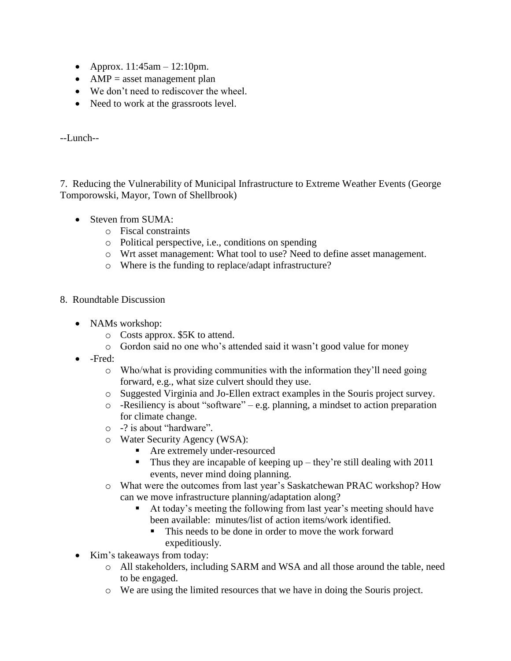- Approx.  $11:45$ am  $12:10$ pm.
- $\bullet$  AMP = asset management plan
- We don't need to rediscover the wheel.
- Need to work at the grassroots level.

--Lunch--

7. Reducing the Vulnerability of Municipal Infrastructure to Extreme Weather Events (George Tomporowski, Mayor, Town of Shellbrook)

- Steven from SUMA:
	- o Fiscal constraints
	- o Political perspective, i.e., conditions on spending
	- o Wrt asset management: What tool to use? Need to define asset management.
	- o Where is the funding to replace/adapt infrastructure?
- 8. Roundtable Discussion
	- NAMs workshop:
		- o Costs approx. \$5K to attend.
		- o Gordon said no one who's attended said it wasn't good value for money
	- -Fred:
		- o Who/what is providing communities with the information they'll need going forward, e.g., what size culvert should they use.
		- o Suggested Virginia and Jo-Ellen extract examples in the Souris project survey.
		- o -Resiliency is about "software" e.g. planning, a mindset to action preparation for climate change.
		- o -? is about "hardware".
		- o Water Security Agency (WSA):
			- **Are extremely under-resourced**
			- $\blacksquare$  Thus they are incapable of keeping up they're still dealing with 2011 events, never mind doing planning.
		- o What were the outcomes from last year's Saskatchewan PRAC workshop? How can we move infrastructure planning/adaptation along?
			- At today's meeting the following from last year's meeting should have been available: minutes/list of action items/work identified.
				- This needs to be done in order to move the work forward expeditiously.
	- Kim's takeaways from today:
		- o All stakeholders, including SARM and WSA and all those around the table, need to be engaged.
		- o We are using the limited resources that we have in doing the Souris project.